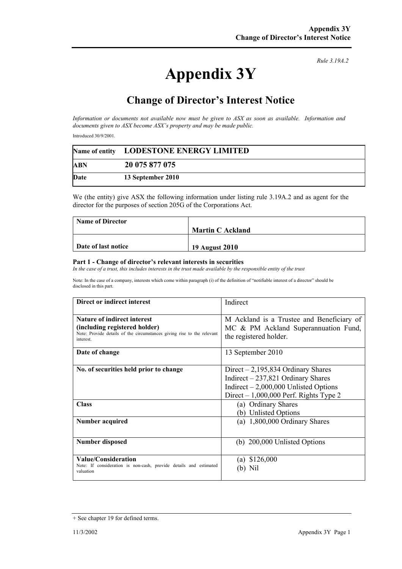## **Appendix 3Y**

*Rule 3.19A.2*

## **Change of Director's Interest Notice**

*Information or documents not available now must be given to ASX as soon as available. Information and documents given to ASX become ASX's property and may be made public.* 

Introduced 30/9/2001.

|            | Name of entity LODESTONE ENERGY LIMITED |  |
|------------|-----------------------------------------|--|
| <b>ABN</b> | 20 075 877 075                          |  |
| Date       | 13 September 2010                       |  |

We (the entity) give ASX the following information under listing rule 3.19A.2 and as agent for the director for the purposes of section 205G of the Corporations Act.

| <b>Name of Director</b> |                         |
|-------------------------|-------------------------|
|                         | <b>Martin C Ackland</b> |
|                         |                         |
| Date of last notice     | 19 August 2010          |

## **Part 1 - Change of director's relevant interests in securities**

In the case of a trust, this includes interests in the trust made available by the responsible entity of the trust

Note: In the case of a company, interests which come within paragraph (i) of the definition of "notifiable interest of a director" should be disclosed in this part.

| Direct or indirect interest                                                                                                                                | Indirect                                                                                                                                                        |
|------------------------------------------------------------------------------------------------------------------------------------------------------------|-----------------------------------------------------------------------------------------------------------------------------------------------------------------|
| <b>Nature of indirect interest</b><br>(including registered holder)<br>Note: Provide details of the circumstances giving rise to the relevant<br>interest. | M Ackland is a Trustee and Beneficiary of<br>MC & PM Ackland Superannuation Fund,<br>the registered holder.                                                     |
| Date of change                                                                                                                                             | 13 September 2010                                                                                                                                               |
| No. of securities held prior to change                                                                                                                     | Direct $-2,195,834$ Ordinary Shares<br>Indirect $-237,821$ Ordinary Shares<br>Indirect $-2,000,000$ Unlisted Options<br>Direct $-1,000,000$ Perf. Rights Type 2 |
| <b>Class</b>                                                                                                                                               | (a) Ordinary Shares<br>(b) Unlisted Options                                                                                                                     |
| <b>Number acquired</b>                                                                                                                                     | (a) $1,800,000$ Ordinary Shares                                                                                                                                 |
| <b>Number disposed</b>                                                                                                                                     | (b) $200,000$ Unlisted Options                                                                                                                                  |
| Value/Consideration<br>Note: If consideration is non-cash, provide details and estimated<br>valuation                                                      | (a) $$126,000$<br>N <sub>1</sub>                                                                                                                                |

<sup>+</sup> See chapter 19 for defined terms.